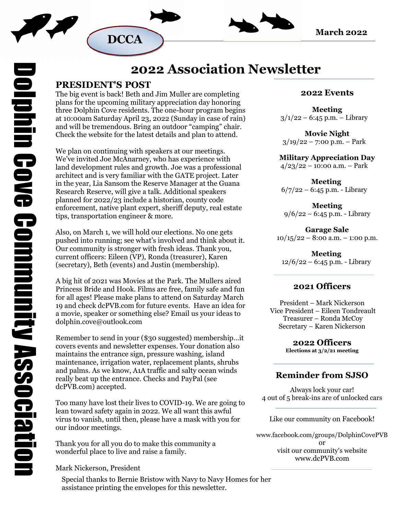





# **2022 Association Newsletter**

### **PRESIDENT'S POST**

The big event is back! Beth and Jim Muller are completing plans for the upcoming military appreciation day honoring three Dolphin Cove residents. The one-hour program begins at 10:00am Saturday April 23, 2022 (Sunday in case of rain) and will be tremendous. Bring an outdoor "camping" chair. Check the website for the latest details and plan to attend.

We plan on continuing with speakers at our meetings. We've invited Joe McAnarney, who has experience with land development rules and growth. Joe was a professional architect and is very familiar with the GATE project. Later in the year, Lia Sansom the Reserve Manager at the Guana Research Reserve, will give a talk. Additional speakers planned for 2022/23 include a historian, county code enforcement, native plant expert, sheriff deputy, real estate tips, transportation engineer & more.

Also, on March 1, we will hold our elections. No one gets pushed into running; see what's involved and think about it. Our community is stronger with fresh ideas. Thank you, current officers: Eileen (VP), Ronda (treasurer), Karen (secretary), Beth (events) and Justin (membership).

A big hit of 2021 was Movies at the Park. The Mullers aired Princess Bride and Hook. Films are free, family safe and fun for all ages! Please make plans to attend on Saturday March 19 and check dcPVB.com for future events. Have an idea for a movie, speaker or something else? Email us your ideas to dolphin.cove@outlook.com

Remember to send in your (\$30 suggested) membership…it covers events and newsletter expenses. Your donation also maintains the entrance sign, pressure washing, island maintenance, irrigation water, replacement plants, shrubs and palms. As we know, A1A traffic and salty ocean winds really beat up the entrance. Checks and PayPal (see dcPVB.com) accepted.

Too many have lost their lives to COVID-19. We are going to lean toward safety again in 2022. We all want this awful virus to vanish, until then, please have a mask with you for our indoor meetings.

Thank you for all you do to make this community a wonderful place to live and raise a family.

Mark Nickerson, President

Special thanks to Bernie Bristow with Navy to Navy Homes for her assistance printing the envelopes for this newsletter.

#### **2022 Events**

**Meeting**   $3/1/22 - 6:45$  p.m. – Library

**Movie Night**   $3/19/22 - 7:00 \text{ p.m.} - \text{Park}$ 

#### **Military Appreciation Day**

 $4/23/22 - 10:00$  a.m. – Park

**Meeting**   $6/7/22 - 6:45$  p.m. - Library

**Meeting**   $9/6/22 - 6:45$  p.m. - Library

**Garage Sale**   $10/15/22 - 8:00$  a.m.  $- 1:00$  p.m.

**Meeting**  12/6/22 – 6:45 p.m. - Library

#### **2021 Officers**

President – Mark Nickerson Vice President – Eileen Tondreault Treasurer – Ronda McCoy Secretary – Karen Nickerson

> **2022 Officers Elections at 3/2/21 meeting**

## **Reminder from SJSO**

Always lock your car! 4 out of 5 break-ins are of unlocked cars

Like our community on Facebook!

www.facebook.com/groups/DolphinCovePVB or visit our community's website www.dcPVB.com